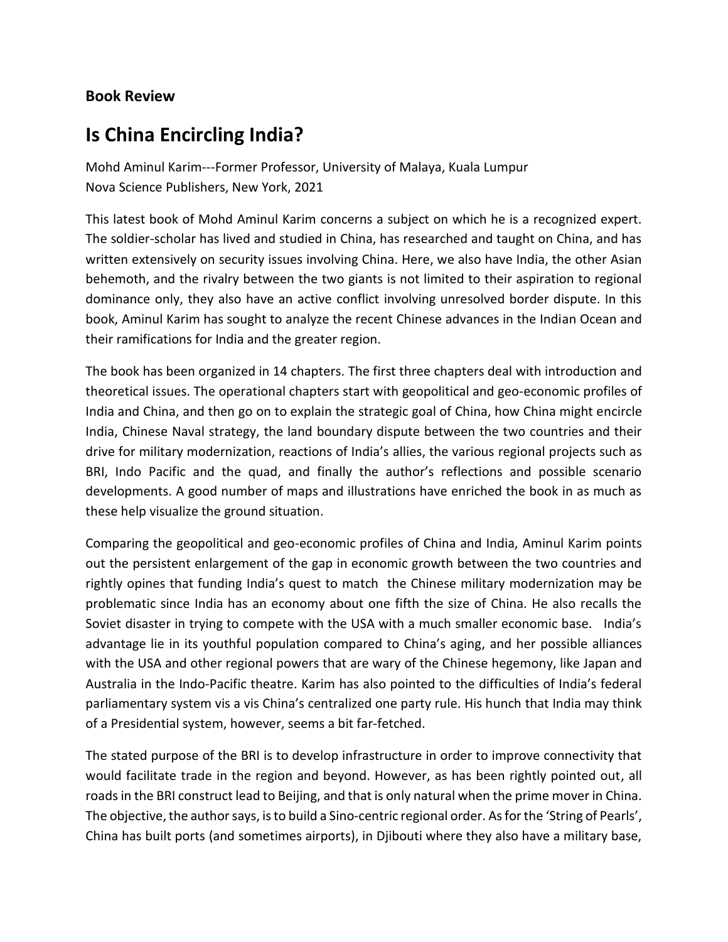## **Book Review**

## **Is China Encircling India?**

Mohd Aminul Karim---Former Professor, University of Malaya, Kuala Lumpur Nova Science Publishers, New York, 2021

This latest book of Mohd Aminul Karim concerns a subject on which he is a recognized expert. The soldier-scholar has lived and studied in China, has researched and taught on China, and has written extensively on security issues involving China. Here, we also have India, the other Asian behemoth, and the rivalry between the two giants is not limited to their aspiration to regional dominance only, they also have an active conflict involving unresolved border dispute. In this book, Aminul Karim has sought to analyze the recent Chinese advances in the Indian Ocean and their ramifications for India and the greater region.

The book has been organized in 14 chapters. The first three chapters deal with introduction and theoretical issues. The operational chapters start with geopolitical and geo-economic profiles of India and China, and then go on to explain the strategic goal of China, how China might encircle India, Chinese Naval strategy, the land boundary dispute between the two countries and their drive for military modernization, reactions of India's allies, the various regional projects such as BRI, Indo Pacific and the quad, and finally the author's reflections and possible scenario developments. A good number of maps and illustrations have enriched the book in as much as these help visualize the ground situation.

Comparing the geopolitical and geo-economic profiles of China and India, Aminul Karim points out the persistent enlargement of the gap in economic growth between the two countries and rightly opines that funding India's quest to match the Chinese military modernization may be problematic since India has an economy about one fifth the size of China. He also recalls the Soviet disaster in trying to compete with the USA with a much smaller economic base. India's advantage lie in its youthful population compared to China's aging, and her possible alliances with the USA and other regional powers that are wary of the Chinese hegemony, like Japan and Australia in the Indo-Pacific theatre. Karim has also pointed to the difficulties of India's federal parliamentary system vis a vis China's centralized one party rule. His hunch that India may think of a Presidential system, however, seems a bit far-fetched.

The stated purpose of the BRI is to develop infrastructure in order to improve connectivity that would facilitate trade in the region and beyond. However, as has been rightly pointed out, all roads in the BRI construct lead to Beijing, and that is only natural when the prime mover in China. The objective, the author says, is to build a Sino-centric regional order. As for the 'String of Pearls', China has built ports (and sometimes airports), in Djibouti where they also have a military base,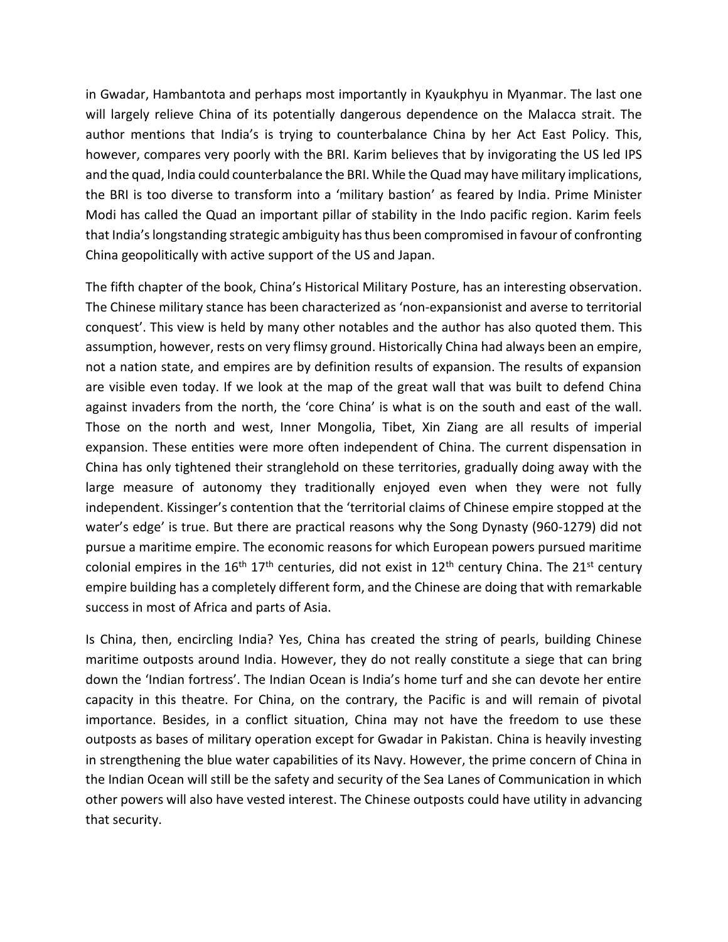in Gwadar, Hambantota and perhaps most importantly in Kyaukphyu in Myanmar. The last one will largely relieve China of its potentially dangerous dependence on the Malacca strait. The author mentions that India's is trying to counterbalance China by her Act East Policy. This, however, compares very poorly with the BRI. Karim believes that by invigorating the US led IPS and the quad, India could counterbalance the BRI. While the Quad may have military implications, the BRI is too diverse to transform into a 'military bastion' as feared by India. Prime Minister Modi has called the Quad an important pillar of stability in the Indo pacific region. Karim feels that India's longstanding strategic ambiguity has thus been compromised in favour of confronting China geopolitically with active support of the US and Japan.

The fifth chapter of the book, China's Historical Military Posture, has an interesting observation. The Chinese military stance has been characterized as 'non-expansionist and averse to territorial conquest'. This view is held by many other notables and the author has also quoted them. This assumption, however, rests on very flimsy ground. Historically China had always been an empire, not a nation state, and empires are by definition results of expansion. The results of expansion are visible even today. If we look at the map of the great wall that was built to defend China against invaders from the north, the 'core China' is what is on the south and east of the wall. Those on the north and west, Inner Mongolia, Tibet, Xin Ziang are all results of imperial expansion. These entities were more often independent of China. The current dispensation in China has only tightened their stranglehold on these territories, gradually doing away with the large measure of autonomy they traditionally enjoyed even when they were not fully independent. Kissinger's contention that the 'territorial claims of Chinese empire stopped at the water's edge' is true. But there are practical reasons why the Song Dynasty (960-1279) did not pursue a maritime empire. The economic reasons for which European powers pursued maritime colonial empires in the  $16<sup>th</sup> 17<sup>th</sup>$  centuries, did not exist in  $12<sup>th</sup>$  century China. The  $21<sup>st</sup>$  century empire building has a completely different form, and the Chinese are doing that with remarkable success in most of Africa and parts of Asia.

Is China, then, encircling India? Yes, China has created the string of pearls, building Chinese maritime outposts around India. However, they do not really constitute a siege that can bring down the 'Indian fortress'. The Indian Ocean is India's home turf and she can devote her entire capacity in this theatre. For China, on the contrary, the Pacific is and will remain of pivotal importance. Besides, in a conflict situation, China may not have the freedom to use these outposts as bases of military operation except for Gwadar in Pakistan. China is heavily investing in strengthening the blue water capabilities of its Navy. However, the prime concern of China in the Indian Ocean will still be the safety and security of the Sea Lanes of Communication in which other powers will also have vested interest. The Chinese outposts could have utility in advancing that security.